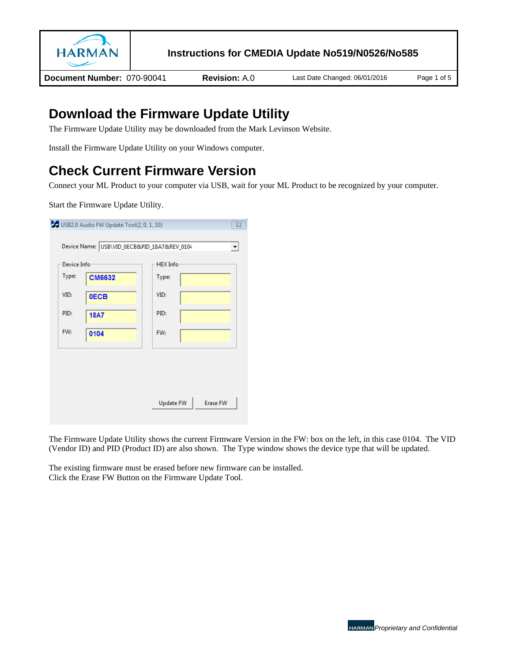

Document Number: 070-90041

**Revision: A.0** 

Last Date Changed: 06/01/2016

## **Download the Firmware Update Utility**

The Firmware Update Utility may be downloaded from the Mark Levinson Website.

Install the Firmware Update Utility on your Windows computer.

# **Check Current Firmware Version**

Connect your ML Product to your computer via USB, wait for your ML Product to be recognized by your computer.

Start the Firmware Update Utility.

| Device Info<br>Type: | <b>CM6632</b> | Type: | <b>HEX</b> Info |  |
|----------------------|---------------|-------|-----------------|--|
|                      |               |       |                 |  |
| VID:                 | <b>OECB</b>   | VID:  |                 |  |
| PID:                 | <b>18A7</b>   | PID:  |                 |  |
| FW:                  | 0104          | FW:   |                 |  |
|                      |               |       |                 |  |
|                      |               |       |                 |  |
|                      |               |       |                 |  |

The Firmware Update Utility shows the current Firmware Version in the FW: box on the left, in this case 0104. The VID (Vendor ID) and PID (Product ID) are also shown. The Type window shows the device type that will be updated.

The existing firmware must be erased before new firmware can be installed. Click the Erase FW Button on the Firmware Update Tool.

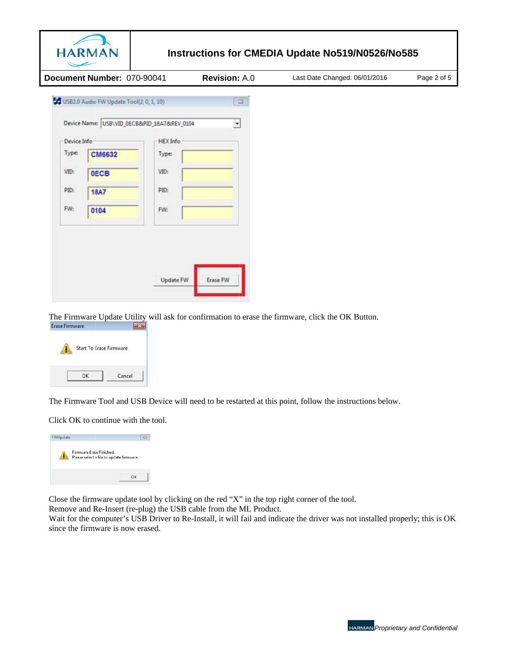

Document Number: 070-90041

**Revision: A.0** 

Last Date Changed: 06/01/2016

Page 2 of 5

| Device Info |               | <b>HEX Info</b> |  |
|-------------|---------------|-----------------|--|
| Type:       | <b>CM6632</b> | Type:           |  |
| VID:        | <b>OECB</b>   | VID:            |  |
| PID:        | <b>18A7</b>   | PID:            |  |
| FW:         | 0104          | FW:             |  |
|             |               |                 |  |
|             |               |                 |  |

The Firmware Update Utility will ask for confirmation to erase the firmware, click the OK Button.  $\overline{\mathbf{x}}$ 



The Firmware Tool and USB Device will need to be restarted at this point, follow the instructions below.

Click OK to continue with the tool.



Close the firmware update tool by clicking on the red "X" in the top right corner of the tool.

Remove and Re-Insert (re-plug) the USB cable from the ML Product.

Wait for the computer's USB Driver to Re-Install, it will fail and indicate the driver was not installed properly; this is OK since the firmware is now erased.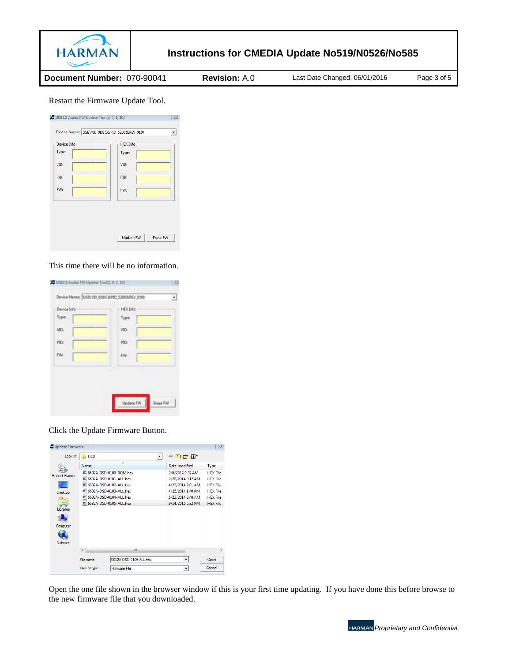

Document Number: 070-90041

**Revision: A.0** 

Last Date Changed: 06/01/2016

Page 3 of 5

#### Restart the Firmware Update Tool.

| Device Info<br>Type: | <b>HEX</b> Info<br>Type: |  |
|----------------------|--------------------------|--|
| VID:                 | VID:                     |  |
| PID:                 | PID:                     |  |
| FW:                  | FW:                      |  |
|                      |                          |  |
|                      |                          |  |

#### This time there will be no information.

| Device Info | <b>HEX Info</b> |
|-------------|-----------------|
| Type:       | Type:           |
| VID:        | VID:            |
| PID:        | PID:            |
| FW:         | PW:             |
|             |                 |
|             |                 |

Click the Update Firmware Button.

| Update Firmware      |                |                                                      |   |                                       | $\Sigma$                           |
|----------------------|----------------|------------------------------------------------------|---|---------------------------------------|------------------------------------|
| Look in:             | <b>HEX</b>     |                                                      | ▼ | 白酥丽<br>⇚                              |                                    |
|                      | Name           |                                                      |   | Date modified                         | Type                               |
| <b>Recent Places</b> | œ              | 6632A-DSD-0100-ROM.hex<br>[5] 6632A-DSD-0101-ALL.hex |   | 2/6/2014 9:37 AM<br>2/20/2014 9:12 AM | <b>HEX File</b><br><b>HFX File</b> |
|                      | œ              | 6632A-DSD-0102-ALL.hex                               |   | 4/23/2014 9:01 AM                     | <b>HEX File</b>                    |
| Desktop              | ы              | 6632A-DSD-0103-ALL.hex                               |   | 4/25/2014 1:40 PM                     | <b>HFX File</b>                    |
| <b>1990</b>          | σ              | 6632A-DSD-0104-ALL.hex                               |   | 5/23/2014 8:48 AM                     | <b>HEX File</b>                    |
|                      |                | [5] 6632A-DSD-0105-ALL.hex                           |   | 9/14/2015 6:32 PM                     | <b>HEX File</b>                    |
| Libraries            |                |                                                      |   |                                       |                                    |
|                      |                |                                                      |   |                                       |                                    |
| Computer             |                |                                                      |   |                                       |                                    |
|                      |                |                                                      |   |                                       |                                    |
| <b>Network</b>       |                |                                                      |   |                                       |                                    |
|                      | 4              | Ш                                                    |   |                                       | k                                  |
|                      | File name:     | 6632A-DSD-0105-ALL.hex                               |   | $\blacktriangledown$                  | Open                               |
|                      | Files of type: | <b>Firmware File</b>                                 |   | $\blacktriangledown$                  | Cancel                             |
|                      |                |                                                      |   |                                       |                                    |

Open the one file shown in the browser window if this is your first time updating. If you have done this before browse to the new firmware file that you downloaded.

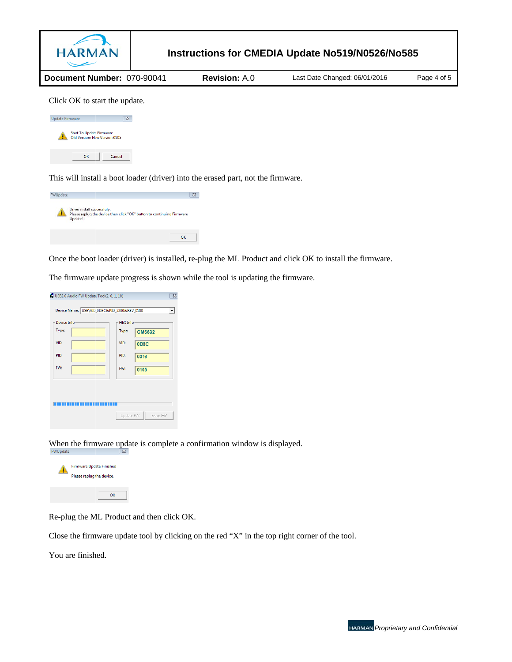

This will install a boot loader (driver) into the erased part, not the firmware.

| FWUpdate |                                         |                                                                        |  | $\Sigma$ |
|----------|-----------------------------------------|------------------------------------------------------------------------|--|----------|
| 41       | Driver install successfuly.<br>Update!! | Please replug the device then click "OK" button to continuing Firmware |  |          |
|          |                                         |                                                                        |  | $\alpha$ |

Once the boot loader (driver) is installed, re-plug the ML Product and click OK to install the firmware.

The firmware update progress is shown while the tool is updating the firmware.

| Device Info<br>Type: | <b>HEX</b> Info<br>Type: | <b>CM6632</b> |
|----------------------|--------------------------|---------------|
| VID:                 | VID:                     | <b>ODBC</b>   |
| PID:                 | PID:                     | 0316          |
| FW:                  | FW:                      | 0105          |
|                      |                          |               |
|                      |                          |               |

When the firmware update is complete a confirmation window is displayed. FWUpdate



Re-plug the ML Product and then click OK.

Close the firmware update tool by clicking on the red "X" in the top right corner of the tool.

You are finished.